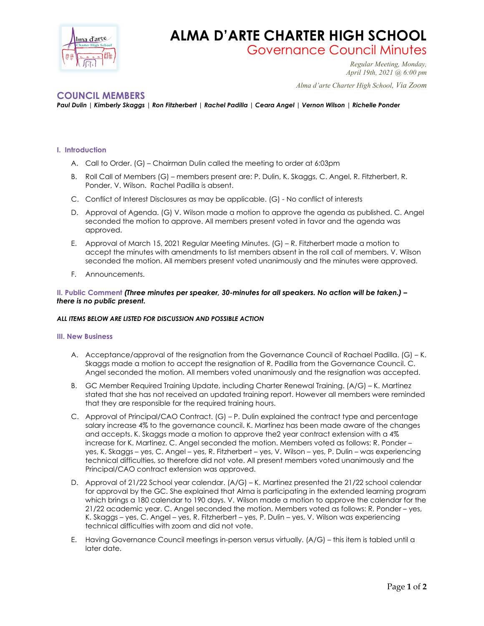

# **ALMA D'ARTE CHARTER HIGH SCHOOL**

Governance Council Minutes *Regular Meeting, Monday,* 

*April 19th, 2021 @ 6:00 pm*

 *Alma d'arte Charter High School, Via Zoom*

## **COUNCIL MEMBERS**

*Paul Dulin | Kimberly Skaggs | Ron Fitzherbert | Rachel Padilla | Ceara Angel | Vernon Wilson | Richelle Ponder*

### **I. Introduction**

- A. Call to Order. (G) Chairman Dulin called the meeting to order at 6:03pm
- B. Roll Call of Members (G) members present are: P. Dulin, K. Skaggs, C. Angel, R. Fitzherbert, R. Ponder, V. Wilson. Rachel Padilla is absent.
- C. Conflict of Interest Disclosures as may be applicable. (G) No conflict of interests
- D. Approval of Agenda. (G) V. Wilson made a motion to approve the agenda as published. C. Angel seconded the motion to approve. All members present voted in favor and the agenda was approved.
- E. Approval of March 15, 2021 Regular Meeting Minutes. (G) R. Fitzherbert made a motion to accept the minutes with amendments to list members absent in the roll call of members. V. Wilson seconded the motion. All members present voted unanimously and the minutes were approved.
- F. Announcements.

#### **II. Public Comment** *(Three minutes per speaker, 30-minutes for all speakers. No action will be taken.) – there is no public present.*

#### *ALL ITEMS BELOW ARE LISTED FOR DISCUSSION AND POSSIBLE ACTION*

#### **III. New Business**

- A. Acceptance/approval of the resignation from the Governance Council of Rachael Padilla. (G) K. Skaggs made a motion to accept the resignation of R. Padilla from the Governance Council. C. Angel seconded the motion. All members voted unanimously and the resignation was accepted.
- B. GC Member Required Training Update, including Charter Renewal Training. (A/G) K. Martinez stated that she has not received an updated training report. However all members were reminded that they are responsible for the required training hours.
- C. Approval of Principal/CAO Contract. (G) P. Dulin explained the contract type and percentage salary increase 4% to the governance council. K. Martinez has been made aware of the changes and accepts. K. Skaggs made a motion to approve the2 year contract extension with a 4% increase for K. Martinez. C. Angel seconded the motion. Members voted as follows: R. Ponder – yes, K. Skaggs – yes, C. Angel – yes, R. Fitzherbert – yes, V. Wilson – yes, P. Dulin – was experiencing technical difficulties, so therefore did not vote. All present members voted unanimously and the Principal/CAO contract extension was approved.
- D. Approval of 21/22 School year calendar. (A/G) K. Martinez presented the 21/22 school calendar for approval by the GC. She explained that Alma is participating in the extended learning program which brings a 180 calendar to 190 days. V. Wilson made a motion to approve the calendar for the 21/22 academic year. C. Angel seconded the motion. Members voted as follows: R. Ponder – yes, K. Skaggs – yes, C. Angel – yes, R. Fitzherbert – yes, P. Dulin – yes, V. Wilson was experiencing technical difficulties with zoom and did not vote.
- E. Having Governance Council meetings in-person versus virtually. (A/G) this item is tabled until a later date.